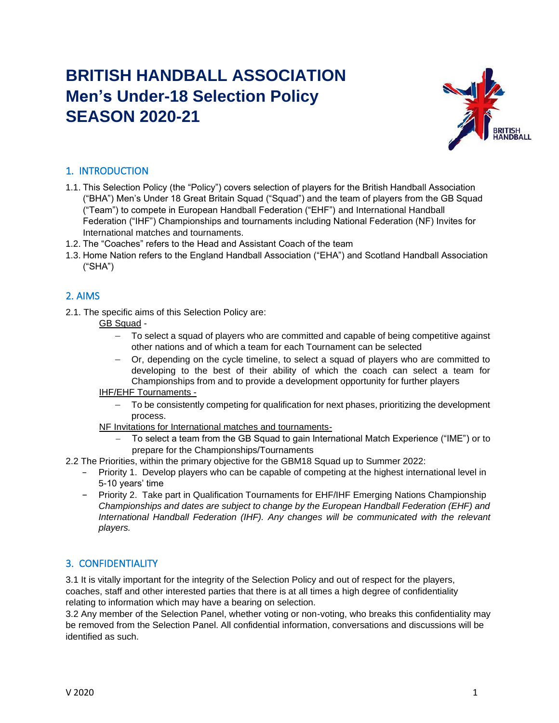# **BRITISH HANDBALL ASSOCIATION Men's Under-18 Selection Policy SEASON 2020-21**



# 1. INTRODUCTION

- 1.1. This Selection Policy (the "Policy") covers selection of players for the British Handball Association ("BHA") Men's Under 18 Great Britain Squad ("Squad") and the team of players from the GB Squad ("Team") to compete in European Handball Federation ("EHF") and International Handball Federation ("IHF") Championships and tournaments including National Federation (NF) Invites for International matches and tournaments.
- 1.2. The "Coaches" refers to the Head and Assistant Coach of the team
- 1.3. Home Nation refers to the England Handball Association ("EHA") and Scotland Handball Association ("SHA")

# 2. AIMS

2.1. The specific aims of this Selection Policy are:

## GB Squad -

- − To select a squad of players who are committed and capable of being competitive against other nations and of which a team for each Tournament can be selected
- − Or, depending on the cycle timeline, to select a squad of players who are committed to developing to the best of their ability of which the coach can select a team for Championships from and to provide a development opportunity for further players

## IHF/EHF Tournaments -

- To be consistently competing for qualification for next phases, prioritizing the development process.
- NF Invitations for International matches and tournaments-
	- − To select a team from the GB Squad to gain International Match Experience ("IME") or to prepare for the Championships/Tournaments
- 2.2 The Priorities, within the primary objective for the GBM18 Squad up to Summer 2022:
	- − Priority 1. Develop players who can be capable of competing at the highest international level in 5-10 years' time
	- − Priority 2. Take part in Qualification Tournaments for EHF/IHF Emerging Nations Championship *Championships and dates are subject to change by the European Handball Federation (EHF) and International Handball Federation (IHF). Any changes will be communicated with the relevant players.*

# 3. CONFIDENTIALITY

3.1 It is vitally important for the integrity of the Selection Policy and out of respect for the players, coaches, staff and other interested parties that there is at all times a high degree of confidentiality relating to information which may have a bearing on selection.

3.2 Any member of the Selection Panel, whether voting or non-voting, who breaks this confidentiality may be removed from the Selection Panel. All confidential information, conversations and discussions will be identified as such.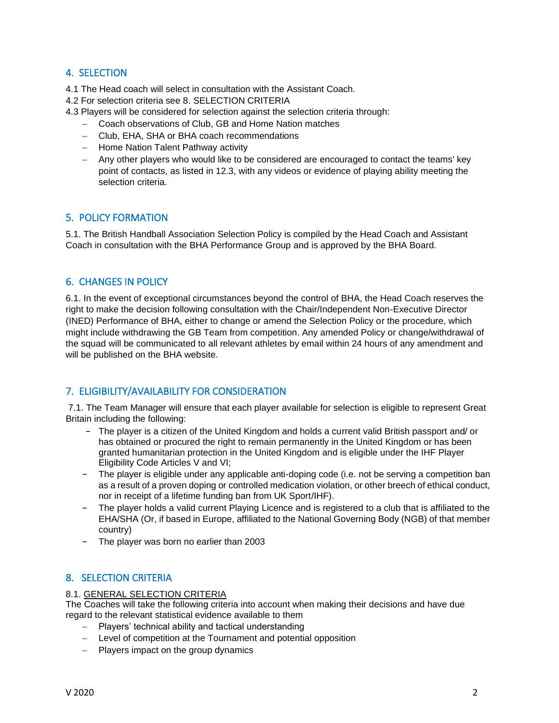# 4. SELECTION

- 4.1 The Head coach will select in consultation with the Assistant Coach.
- 4.2 For selection criteria see 8. SELECTION CRITERIA
- 4.3 Players will be considered for selection against the selection criteria through:
	- − Coach observations of Club, GB and Home Nation matches
	- − Club, EHA, SHA or BHA coach recommendations
	- − Home Nation Talent Pathway activity
	- − Any other players who would like to be considered are encouraged to contact the teams' key point of contacts, as listed in 12.3, with any videos or evidence of playing ability meeting the selection criteria.

## 5. POLICY FORMATION

5.1. The British Handball Association Selection Policy is compiled by the Head Coach and Assistant Coach in consultation with the BHA Performance Group and is approved by the BHA Board.

## 6. CHANGES IN POLICY

6.1. In the event of exceptional circumstances beyond the control of BHA, the Head Coach reserves the right to make the decision following consultation with the Chair/Independent Non-Executive Director (INED) Performance of BHA, either to change or amend the Selection Policy or the procedure, which might include withdrawing the GB Team from competition. Any amended Policy or change/withdrawal of the squad will be communicated to all relevant athletes by email within 24 hours of any amendment and will be published on the BHA website.

## 7. ELIGIBILITY/AVAILABILITY FOR CONSIDERATION

7.1. The Team Manager will ensure that each player available for selection is eligible to represent Great Britain including the following:

- − The player is a citizen of the United Kingdom and holds a current valid British passport and/ or has obtained or procured the right to remain permanently in the United Kingdom or has been granted humanitarian protection in the United Kingdom and is eligible under the IHF Player Eligibility Code Articles V and VI;
- − The player is eligible under any applicable anti-doping code (i.e. not be serving a competition ban as a result of a proven doping or controlled medication violation, or other breech of ethical conduct, nor in receipt of a lifetime funding ban from UK Sport/IHF).
- − The player holds a valid current Playing Licence and is registered to a club that is affiliated to the EHA/SHA (Or, if based in Europe, affiliated to the National Governing Body (NGB) of that member country)
- − The player was born no earlier than 2003

# 8. SELECTION CRITERIA

#### 8.1. GENERAL SELECTION CRITERIA

The Coaches will take the following criteria into account when making their decisions and have due regard to the relevant statistical evidence available to them

- − Players' technical ability and tactical understanding
- − Level of competition at the Tournament and potential opposition
- − Players impact on the group dynamics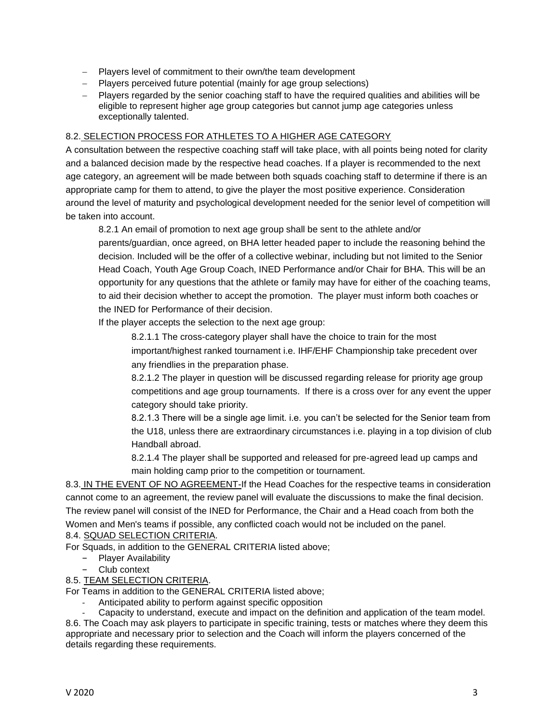- − Players level of commitment to their own/the team development
- − Players perceived future potential (mainly for age group selections)
- − Players regarded by the senior coaching staff to have the required qualities and abilities will be eligible to represent higher age group categories but cannot jump age categories unless exceptionally talented.

#### 8.2. SELECTION PROCESS FOR ATHLETES TO A HIGHER AGE CATEGORY

A consultation between the respective coaching staff will take place, with all points being noted for clarity and a balanced decision made by the respective head coaches. If a player is recommended to the next age category, an agreement will be made between both squads coaching staff to determine if there is an appropriate camp for them to attend, to give the player the most positive experience. Consideration around the level of maturity and psychological development needed for the senior level of competition will be taken into account.

8.2.1 An email of promotion to next age group shall be sent to the athlete and/or parents/guardian, once agreed, on BHA letter headed paper to include the reasoning behind the decision. Included will be the offer of a collective webinar, including but not limited to the Senior Head Coach, Youth Age Group Coach, INED Performance and/or Chair for BHA. This will be an opportunity for any questions that the athlete or family may have for either of the coaching teams, to aid their decision whether to accept the promotion. The player must inform both coaches or the INED for Performance of their decision.

If the player accepts the selection to the next age group:

8.2.1.1 The cross-category player shall have the choice to train for the most important/highest ranked tournament i.e. IHF/EHF Championship take precedent over any friendlies in the preparation phase.

8.2.1.2 The player in question will be discussed regarding release for priority age group competitions and age group tournaments. If there is a cross over for any event the upper category should take priority.

8.2.1.3 There will be a single age limit. i.e. you can't be selected for the Senior team from the U18, unless there are extraordinary circumstances i.e. playing in a top division of club Handball abroad.

8.2.1.4 The player shall be supported and released for pre-agreed lead up camps and main holding camp prior to the competition or tournament.

8.3. IN THE EVENT OF NO AGREEMENT-If the Head Coaches for the respective teams in consideration cannot come to an agreement, the review panel will evaluate the discussions to make the final decision. The review panel will consist of the INED for Performance, the Chair and a Head coach from both the Women and Men's teams if possible, any conflicted coach would not be included on the panel.

#### 8.4. SQUAD SELECTION CRITERIA.

For Squads, in addition to the GENERAL CRITERIA listed above;

- − Player Availability
- − Club context

## 8.5. TEAM SELECTION CRITERIA.

For Teams in addition to the GENERAL CRITERIA listed above;

- Anticipated ability to perform against specific opposition
- Capacity to understand, execute and impact on the definition and application of the team model.

8.6. The Coach may ask players to participate in specific training, tests or matches where they deem this appropriate and necessary prior to selection and the Coach will inform the players concerned of the details regarding these requirements.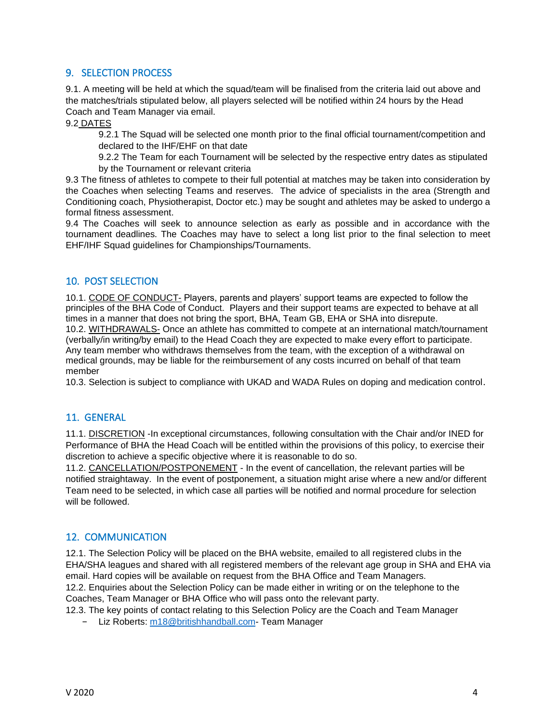## 9. SELECTION PROCESS

9.1. A meeting will be held at which the squad/team will be finalised from the criteria laid out above and the matches/trials stipulated below, all players selected will be notified within 24 hours by the Head Coach and Team Manager via email.

9.2 DATES

9.2.1 The Squad will be selected one month prior to the final official tournament/competition and declared to the IHF/EHF on that date

9.2.2 The Team for each Tournament will be selected by the respective entry dates as stipulated by the Tournament or relevant criteria

9.3 The fitness of athletes to compete to their full potential at matches may be taken into consideration by the Coaches when selecting Teams and reserves. The advice of specialists in the area (Strength and Conditioning coach, Physiotherapist, Doctor etc.) may be sought and athletes may be asked to undergo a formal fitness assessment.

9.4 The Coaches will seek to announce selection as early as possible and in accordance with the tournament deadlines. The Coaches may have to select a long list prior to the final selection to meet EHF/IHF Squad guidelines for Championships/Tournaments.

## 10. POST SELECTION

10.1. CODE OF CONDUCT- Players, parents and players' support teams are expected to follow the principles of the BHA Code of Conduct. Players and their support teams are expected to behave at all times in a manner that does not bring the sport, BHA, Team GB, EHA or SHA into disrepute. 10.2. WITHDRAWALS- Once an athlete has committed to compete at an international match/tournament (verbally/in writing/by email) to the Head Coach they are expected to make every effort to participate. Any team member who withdraws themselves from the team, with the exception of a withdrawal on medical grounds, may be liable for the reimbursement of any costs incurred on behalf of that team member

10.3. Selection is subject to compliance with UKAD and WADA Rules on doping and medication control.

## 11. GENERAL

11.1. DISCRETION -In exceptional circumstances, following consultation with the Chair and/or INED for Performance of BHA the Head Coach will be entitled within the provisions of this policy, to exercise their discretion to achieve a specific objective where it is reasonable to do so.

11.2. CANCELLATION/POSTPONEMENT - In the event of cancellation, the relevant parties will be notified straightaway. In the event of postponement, a situation might arise where a new and/or different Team need to be selected, in which case all parties will be notified and normal procedure for selection will be followed.

## 12. COMMUNICATION

12.1. The Selection Policy will be placed on the BHA website, emailed to all registered clubs in the EHA/SHA leagues and shared with all registered members of the relevant age group in SHA and EHA via email. Hard copies will be available on request from the BHA Office and Team Managers.

12.2. Enquiries about the Selection Policy can be made either in writing or on the telephone to the Coaches, Team Manager or BHA Office who will pass onto the relevant party.

12.3. The key points of contact relating to this Selection Policy are the Coach and Team Manager

− Liz Roberts: [m18@britishhandball.com-](about:blank) Team Manager